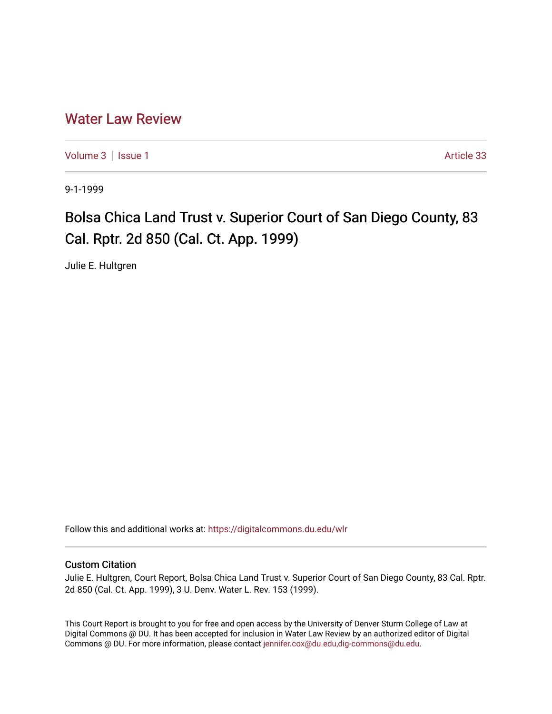## [Water Law Review](https://digitalcommons.du.edu/wlr)

[Volume 3](https://digitalcommons.du.edu/wlr/vol3) | [Issue 1](https://digitalcommons.du.edu/wlr/vol3/iss1) Article 33

9-1-1999

## Bolsa Chica Land Trust v. Superior Court of San Diego County, 83 Cal. Rptr. 2d 850 (Cal. Ct. App. 1999)

Julie E. Hultgren

Follow this and additional works at: [https://digitalcommons.du.edu/wlr](https://digitalcommons.du.edu/wlr?utm_source=digitalcommons.du.edu%2Fwlr%2Fvol3%2Fiss1%2F33&utm_medium=PDF&utm_campaign=PDFCoverPages) 

## Custom Citation

Julie E. Hultgren, Court Report, Bolsa Chica Land Trust v. Superior Court of San Diego County, 83 Cal. Rptr. 2d 850 (Cal. Ct. App. 1999), 3 U. Denv. Water L. Rev. 153 (1999).

This Court Report is brought to you for free and open access by the University of Denver Sturm College of Law at Digital Commons @ DU. It has been accepted for inclusion in Water Law Review by an authorized editor of Digital Commons @ DU. For more information, please contact [jennifer.cox@du.edu,dig-commons@du.edu.](mailto:jennifer.cox@du.edu,dig-commons@du.edu)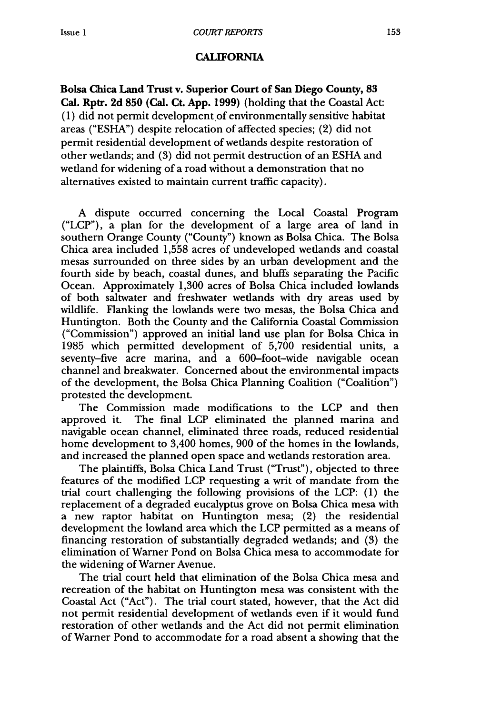## CALIFORNIA

**Bolsa Chica Land Trust v. Superior Court of San Diego County, 83 Cal. Rptr. 2d 850 (Cal. Ct. App. 1999)** (holding that the Coastal Act: (1) did not permit development of environmentally sensitive habitat areas ("ESHA") despite relocation of affected species; (2) did not permit residential development of wetlands despite restoration of other wetlands; and (3) did not permit destruction of an ESHA and wetland for widening of a road without a demonstration that no alternatives existed to maintain current traffic capacity).

A dispute occurred concerning the Local Coastal Program ("LCP"), a plan for the development of a large area of land in southern Orange County ("County") known as Bolsa Chica. The Bolsa Chica area included 1,558 acres of undeveloped wetlands and coastal mesas surrounded on three sides by an urban development and the fourth side by beach, coastal dunes, and bluffs separating the Pacific Ocean. Approximately 1,300 acres of Bolsa Chica included lowlands of both saltwater and freshwater wetlands with dry areas used by wildlife. Flanking the lowlands were two mesas, the Bolsa Chica and Huntington. Both the County and the California Coastal Commission ("Commission") approved an initial land use plan for Bolsa Chica in 1985 which permitted development of 5,700 residential units, a seventy-five acre marina, and a 600-foot-wide navigable ocean channel and breakwater. Concerned about the environmental impacts of the development, the Bolsa Chica Planning Coalition ("Coalition") protested the development.

The Commission made modifications to the LCP and then approved it. The final LCP eliminated the planned marina and navigable ocean channel, eliminated three roads, reduced residential home development to 3,400 homes, 900 of the homes in the lowlands, and increased the planned open space and wetlands restoration area.

The plaintiffs, Bolsa Chica Land Trust ("Trust"), objected to three features of the modified LCP requesting a writ of mandate from the trial court challenging the following provisions of the LCP: (1) the replacement of a degraded eucalyptus grove on Bolsa Chica mesa with a new raptor habitat on Huntington mesa; (2) the residential development the lowland area which the LCP permitted as a means of financing restoration of substantially degraded wetlands; and (3) the elimination of Warner Pond on Bolsa Chica mesa to accommodate for the widening of Warner Avenue.

The trial court held that elimination of the Bolsa Chica mesa and recreation of the habitat on Huntington mesa was consistent with the Coastal Act ("Act"). The trial court stated, however, that the Act did not permit residential development of wetlands even if it would fund restoration of other wetlands and the Act did not permit elimination of Warner Pond to accommodate for a road absent a showing that the